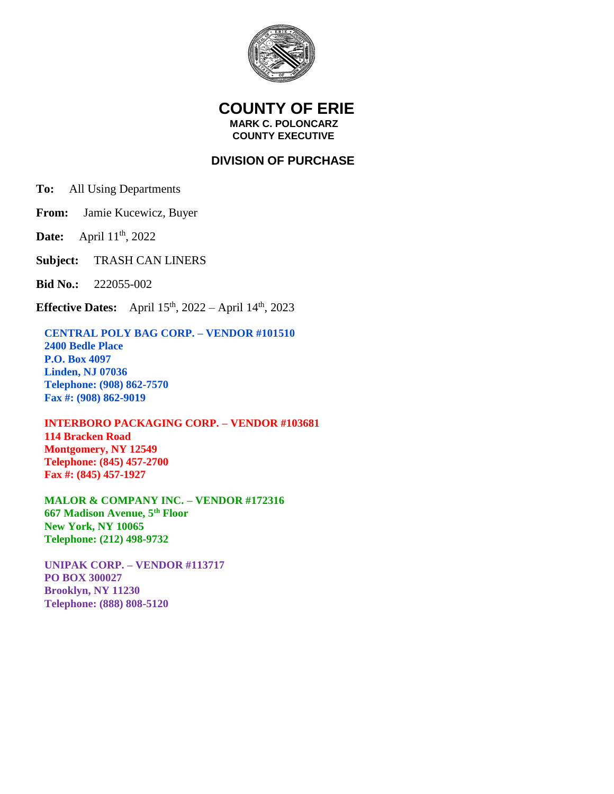

## **COUNTY OF ERIE MARK C. POLONCARZ COUNTY EXECUTIVE**

## **DIVISION OF PURCHASE**

**To:** All Using Departments

**From:** Jamie Kucewicz, Buyer

**Date:** April 11<sup>th</sup>, 2022

**Subject:** TRASH CAN LINERS

**Bid No.:** 222055-002

**Effective Dates:** April  $15^{th}$ , 2022 – April  $14^{th}$ , 2023

## **CENTRAL POLY BAG CORP. – VENDOR #101510**

 **2400 Bedle Place P.O. Box 4097 Linden, NJ 07036 Telephone: (908) 862-7570 Fax #: (908) 862-9019**

## **INTERBORO PACKAGING CORP. – VENDOR #103681 114 Bracken Road Montgomery, NY 12549**

 **Telephone: (845) 457-2700 Fax #: (845) 457-1927**

 **MALOR & COMPANY INC. – VENDOR #172316 667 Madison Avenue, 5th Floor New York, NY 10065 Telephone: (212) 498-9732**

 **UNIPAK CORP. – VENDOR #113717 PO BOX 300027 Brooklyn, NY 11230 Telephone: (888) 808-5120**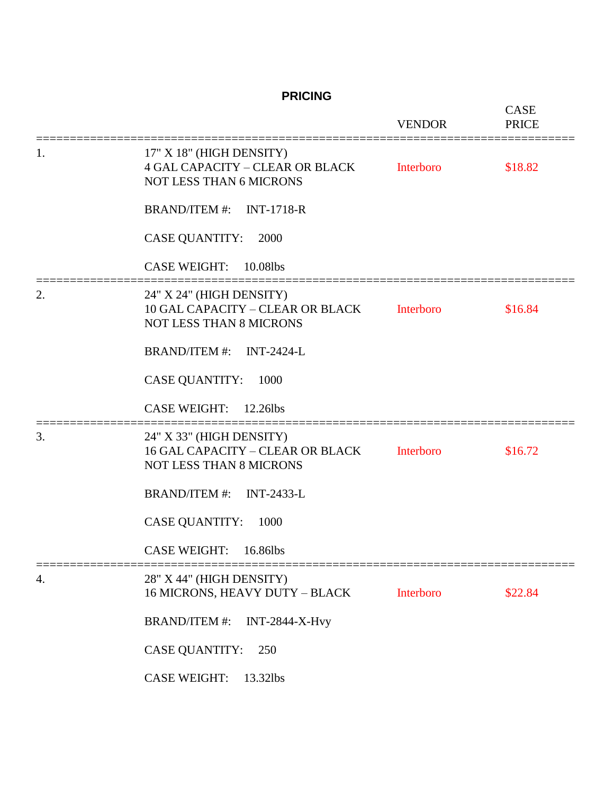**PRICING**

|    |                                                                                                       | <b>VENDOR</b> | <b>CASE</b><br><b>PRICE</b> |
|----|-------------------------------------------------------------------------------------------------------|---------------|-----------------------------|
| 1. | 17" X 18" (HIGH DENSITY)<br><b>4 GAL CAPACITY - CLEAR OR BLACK</b><br><b>NOT LESS THAN 6 MICRONS</b>  | Interboro     | \$18.82                     |
|    | BRAND/ITEM #: INT-1718-R                                                                              |               |                             |
|    | <b>CASE QUANTITY:</b><br>2000                                                                         |               |                             |
|    | <b>CASE WEIGHT:</b><br>10.08lbs                                                                       |               |                             |
| 2. | 24" X 24" (HIGH DENSITY)<br><b>10 GAL CAPACITY - CLEAR OR BLACK</b><br><b>NOT LESS THAN 8 MICRONS</b> | Interboro     | \$16.84                     |
|    | <b>BRAND/ITEM #:</b><br><b>INT-2424-L</b>                                                             |               |                             |
|    | <b>CASE QUANTITY:</b><br>1000                                                                         |               |                             |
|    | <b>CASE WEIGHT:</b><br>12.26lbs                                                                       |               |                             |
| 3. | 24" X 33" (HIGH DENSITY)<br><b>16 GAL CAPACITY - CLEAR OR BLACK</b><br><b>NOT LESS THAN 8 MICRONS</b> | Interboro     | \$16.72                     |
|    | <b>BRAND/ITEM #:</b><br><b>INT-2433-L</b>                                                             |               |                             |
|    | <b>CASE QUANTITY:</b><br>1000                                                                         |               |                             |
|    | <b>CASE WEIGHT:</b><br>16.86lbs                                                                       |               |                             |
| 4. | 28" X 44" (HIGH DENSITY)<br>16 MICRONS, HEAVY DUTY - BLACK                                            | Interboro     | \$22.84                     |
|    | <b>BRAND/ITEM #:</b><br><b>INT-2844-X-Hvy</b>                                                         |               |                             |
|    | <b>CASE QUANTITY:</b><br>250                                                                          |               |                             |
|    | <b>CASE WEIGHT:</b><br>13.32lbs                                                                       |               |                             |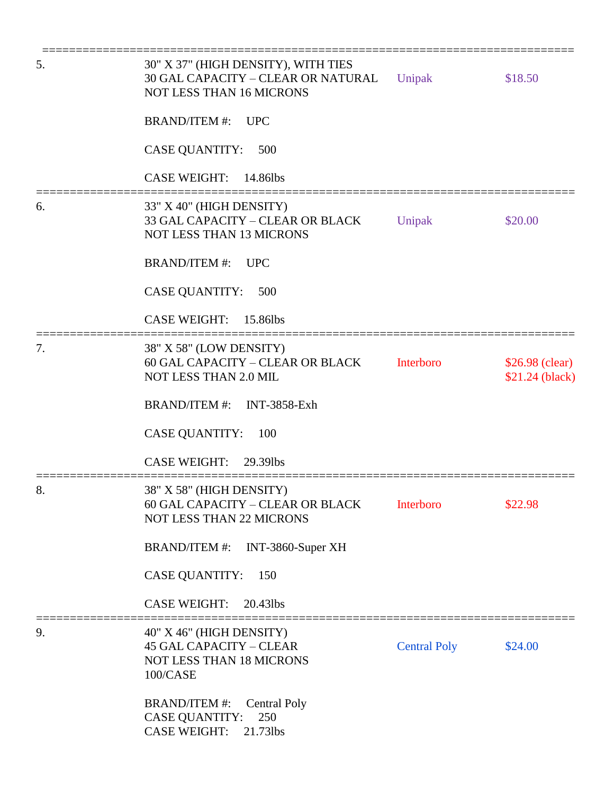| 5. | 30" X 37" (HIGH DENSITY), WITH TIES<br>30 GAL CAPACITY - CLEAR OR NATURAL<br><b>NOT LESS THAN 16 MICRONS</b>   | Unipak              | \$18.50                            |
|----|----------------------------------------------------------------------------------------------------------------|---------------------|------------------------------------|
|    | <b>BRAND/ITEM#:</b><br><b>UPC</b>                                                                              |                     |                                    |
|    | <b>CASE QUANTITY:</b><br>500                                                                                   |                     |                                    |
|    | <b>CASE WEIGHT:</b><br>14.86lbs                                                                                |                     |                                    |
| 6. | 33" X 40" (HIGH DENSITY)<br>33 GAL CAPACITY - CLEAR OR BLACK<br><b>NOT LESS THAN 13 MICRONS</b>                | Unipak              | \$20.00                            |
|    | <b>BRAND/ITEM#:</b><br><b>UPC</b>                                                                              |                     |                                    |
|    | <b>CASE QUANTITY:</b><br>500                                                                                   |                     |                                    |
|    | <b>CASE WEIGHT:</b><br>15.86lbs                                                                                |                     |                                    |
| 7. | 38" X 58" (LOW DENSITY)<br>60 GAL CAPACITY - CLEAR OR BLACK<br>NOT LESS THAN 2.0 MIL                           | Interboro           | \$26.98 (clear)<br>\$21.24 (black) |
|    | <b>BRAND/ITEM #:</b><br><b>INT-3858-Exh</b>                                                                    |                     |                                    |
|    | <b>CASE QUANTITY:</b><br>100                                                                                   |                     |                                    |
|    | <b>CASE WEIGHT:</b><br>29.39lbs                                                                                |                     |                                    |
| 8. | 38" X 58" (HIGH DENSITY)<br>60 GAL CAPACITY - CLEAR OR BLACK<br><b>NOT LESS THAN 22 MICRONS</b>                | Interboro           | \$22.98                            |
|    | <b>BRAND/ITEM #:</b><br>INT-3860-Super XH                                                                      |                     |                                    |
|    | <b>CASE QUANTITY:</b><br>150                                                                                   |                     |                                    |
|    | <b>CASE WEIGHT:</b><br>20.43lbs                                                                                |                     |                                    |
| 9. | 40" X 46" (HIGH DENSITY)<br><b>45 GAL CAPACITY - CLEAR</b><br><b>NOT LESS THAN 18 MICRONS</b><br>100/CASE      | <b>Central Poly</b> | \$24.00                            |
|    | <b>BRAND/ITEM #:</b><br><b>Central Poly</b><br>250<br><b>CASE QUANTITY:</b><br>21.73lbs<br><b>CASE WEIGHT:</b> |                     |                                    |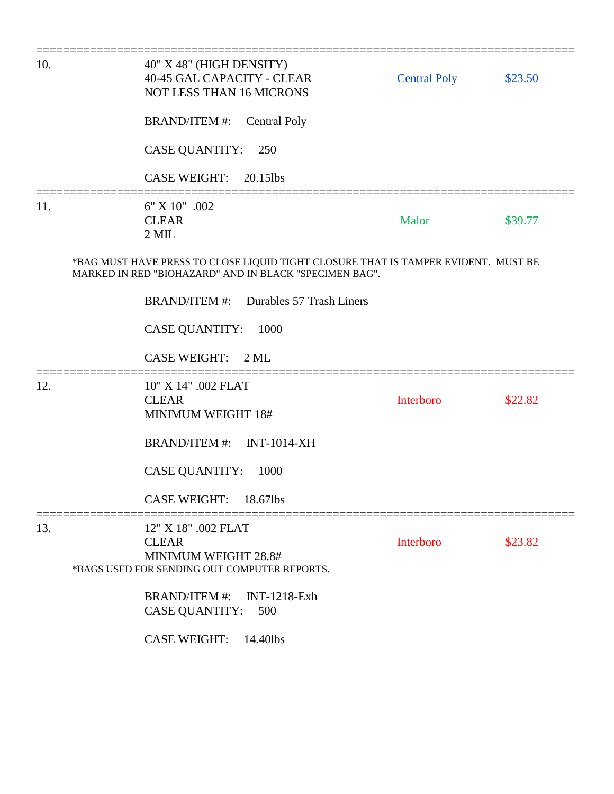| 10. | 40" X 48" (HIGH DENSITY)<br>40-45 GAL CAPACITY - CLEAR<br><b>NOT LESS THAN 16 MICRONS</b>                                                    | <b>Central Poly</b> | \$23.50 |
|-----|----------------------------------------------------------------------------------------------------------------------------------------------|---------------------|---------|
|     | <b>BRAND/ITEM #:</b><br><b>Central Poly</b>                                                                                                  |                     |         |
|     | <b>CASE QUANTITY:</b><br>250                                                                                                                 |                     |         |
|     | <b>CASE WEIGHT:</b><br>20.15lbs                                                                                                              |                     |         |
| 11. | 6" X 10" .002<br><b>CLEAR</b><br>$2$ MIL                                                                                                     | Malor               | \$39.77 |
|     | *BAG MUST HAVE PRESS TO CLOSE LIQUID TIGHT CLOSURE THAT IS TAMPER EVIDENT. MUST BE<br>MARKED IN RED "BIOHAZARD" AND IN BLACK "SPECIMEN BAG". |                     |         |
|     | BRAND/ITEM #: Durables 57 Trash Liners                                                                                                       |                     |         |
|     | <b>CASE QUANTITY:</b><br>1000                                                                                                                |                     |         |
|     | <b>CASE WEIGHT:</b><br>$2$ ML                                                                                                                |                     |         |
| 12. | 10" X 14" .002 FLAT<br><b>CLEAR</b><br><b>MINIMUM WEIGHT 18#</b>                                                                             | Interboro           | \$22.82 |
|     | BRAND/ITEM #: INT-1014-XH                                                                                                                    |                     |         |
|     | <b>CASE QUANTITY:</b><br>1000                                                                                                                |                     |         |
|     | <b>CASE WEIGHT:</b><br>18.67lbs                                                                                                              |                     |         |
| 13. | 12" X 18" .002 FLAT<br><b>CLEAR</b><br><b>MINIMUM WEIGHT 28.8#</b><br>*BAGS USED FOR SENDING OUT COMPUTER REPORTS.                           | Interboro           | \$23.82 |
|     | <b>BRAND/ITEM #:</b><br><b>INT-1218-Exh</b><br><b>CASE QUANTITY:</b><br>500                                                                  |                     |         |
|     | <b>CASE WEIGHT:</b><br>14.40lbs                                                                                                              |                     |         |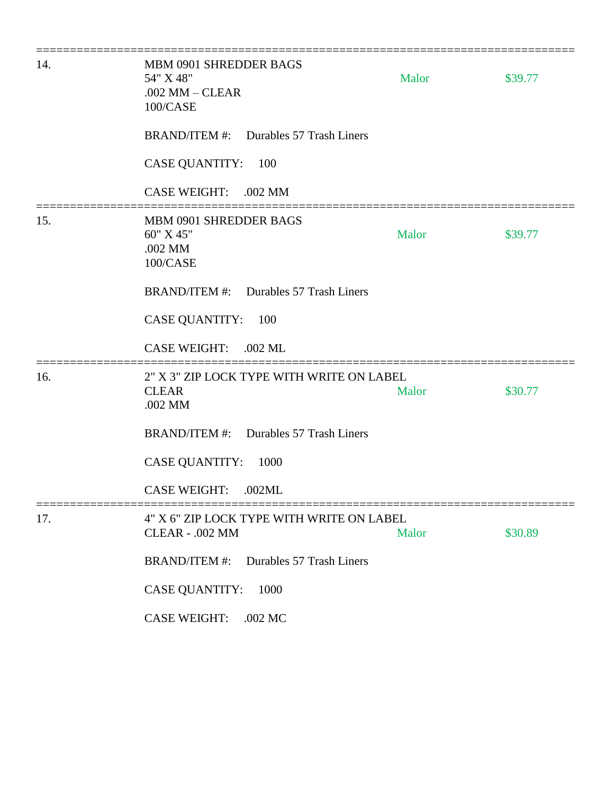| 14. | MBM 0901 SHREDDER BAGS<br>54" X 48"<br>$.002$ MM $-$ CLEAR<br>100/CASE | Malor | \$39.77 |
|-----|------------------------------------------------------------------------|-------|---------|
|     | BRAND/ITEM #: Durables 57 Trash Liners                                 |       |         |
|     | <b>CASE QUANTITY:</b><br>100                                           |       |         |
|     | <b>CASE WEIGHT:</b><br>.002 MM                                         |       |         |
| 15. | <b>MBM 0901 SHREDDER BAGS</b><br>60" X 45"<br>.002 MM<br>100/CASE      | Malor | \$39.77 |
|     | BRAND/ITEM #: Durables 57 Trash Liners                                 |       |         |
|     | <b>CASE QUANTITY:</b><br>100                                           |       |         |
|     | <b>CASE WEIGHT:</b><br>.002 ML                                         |       |         |
| 16. | 2" X 3" ZIP LOCK TYPE WITH WRITE ON LABEL<br><b>CLEAR</b><br>.002 MM   | Malor | \$30.77 |
|     | <b>BRAND/ITEM #:</b><br>Durables 57 Trash Liners                       |       |         |
|     | <b>CASE QUANTITY:</b><br>1000                                          |       |         |
|     | <b>CASE WEIGHT:</b><br>.002ML                                          |       |         |
| 17. | 4" X 6" ZIP LOCK TYPE WITH WRITE ON LABEL<br><b>CLEAR - .002 MM</b>    | Malor | \$30.89 |
|     | Durables 57 Trash Liners<br><b>BRAND/ITEM#:</b>                        |       |         |
|     | <b>CASE QUANTITY:</b><br>1000                                          |       |         |
|     | <b>CASE WEIGHT:</b><br>.002 MC                                         |       |         |